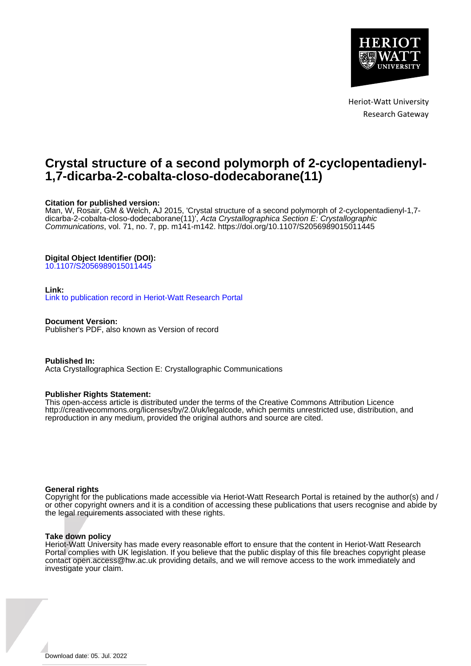

Heriot-Watt University Research Gateway

## **Crystal structure of a second polymorph of 2-cyclopentadienyl-1,7-dicarba-2-cobalta-closo-dodecaborane(11)**

### **Citation for published version:**

Man, W, Rosair, GM & Welch, AJ 2015, 'Crystal structure of a second polymorph of 2-cyclopentadienyl-1,7 dicarba-2-cobalta-closo-dodecaborane(11)', Acta Crystallographica Section E: Crystallographic Communications, vol. 71, no. 7, pp. m141-m142.<https://doi.org/10.1107/S2056989015011445>

### **Digital Object Identifier (DOI):**

[10.1107/S2056989015011445](https://doi.org/10.1107/S2056989015011445)

### **Link:**

[Link to publication record in Heriot-Watt Research Portal](https://researchportal.hw.ac.uk/en/publications/65dba5b9-17a5-4e0a-aeab-04980e9a869e)

**Document Version:** Publisher's PDF, also known as Version of record

**Published In:** Acta Crystallographica Section E: Crystallographic Communications

#### **Publisher Rights Statement:**

This open-access article is distributed under the terms of the Creative Commons Attribution Licence http://creativecommons.org/licenses/by/2.0/uk/legalcode, which permits unrestricted use, distribution, and reproduction in any medium, provided the original authors and source are cited.

#### **General rights**

Copyright for the publications made accessible via Heriot-Watt Research Portal is retained by the author(s) and / or other copyright owners and it is a condition of accessing these publications that users recognise and abide by the legal requirements associated with these rights.

#### **Take down policy**

Heriot-Watt University has made every reasonable effort to ensure that the content in Heriot-Watt Research Portal complies with UK legislation. If you believe that the public display of this file breaches copyright please contact open.access@hw.ac.uk providing details, and we will remove access to the work immediately and investigate your claim.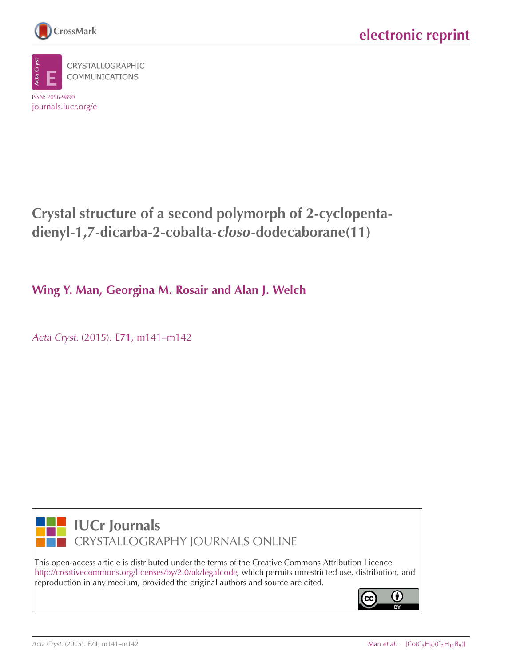

journals.iucr.org/e

CRYSTALLOGRAPHIC **COMMUNICATIONS** ISSN: 2056-9890

**Crystal structure of a second polymorph of 2-cyclopentadienyl-1,7-dicarba-2-cobalta-closo-dodecaborane(11)**

**Wing Y. Man, Georgina M. Rosair and Alan J. Welch**

Acta Cryst. (2015). E**71**[, m141–m142](http://dx.doi.org/10.1107/S2056989015011445)



**IUCr Journals** CRYSTALLOGRAPHY JOURNALS ONLINE

This open-access article is distributed under the terms of the Creative Commons Attribution Licence [http://creativecommons.org/licenses/by/2.0/uk/legalcode,](http://creativecommons.org/licenses/by/2.0/uk/legalcode) which permits unrestricted use, distribution, and reproduction in any medium, provided the original authors and source are cited.

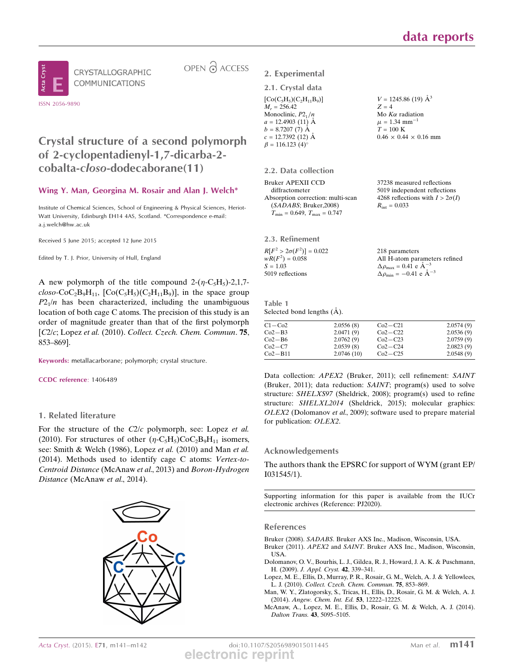CRYSTALLOGRAPHIC COMMUNICATIONS

ISSN 2056-9890

OPEN A ACCESS

2. Experimental 2.1. Crystal data

 $[Co(C_5H_5)(C_2H_{11}B_9)]$  $M = 256.42$ Monoclinic,  $P2<sub>1</sub>/n$  $a = 12.4903(11)$  Å

## Crystal structure of a second polymorph of 2-cyclopentadienyl-1,7-dicarba-2 cobalta-closo-dodecaborane(11)

### Wing Y. Man, Georgina M. Rosair and Alan J. Welch\*

Institute of Chemical Sciences, School of Engineering & Physical Sciences, Heriot-Watt University, Edinburgh EH14 4AS, Scotland. \*Correspondence e-mail: a.j.welch@hw.ac.uk

Received 5 June 2015; accepted 12 June 2015

Edited by T. J. Prior, University of Hull, England

A new polymorph of the title compound  $2-(\eta - C_5H_5) - 2,1,7$ - $\text{closo-CoC}_2\text{B}_9\text{H}_{11}$ ,  $\text{[Co(C}_5\text{H}_5)(\text{C}_2\text{H}_{11}\text{B}_9)]$ , in the space group  $P2_1/n$  has been characterized, including the unambiguous location of both cage C atoms. The precision of this study is an order of magnitude greater than that of the first polymorph [C2/c; Lopez et al. (2010). Collect. Czech. Chem. Commun. **75**, 853–869].

Keywords: metallacarborane; polymorph; crystal structure.

CCDC reference: 1406489

### 1. Related literature

For the structure of the C2/c polymorph, see: Lopez et al. (2010). For structures of other  $(\eta$ -C<sub>5</sub>H<sub>5</sub>)CoC<sub>2</sub>B<sub>9</sub>H<sub>11</sub> isomers, see: Smith & Welch (1986), Lopez et al. (2010) and Man et al. (2014). Methods used to identify cage C atoms: Vertex-to-Centroid Distance (McAnaw et al., 2013) and Boron-Hydrogen Distance (McAnaw et al., 2014).



 $b = 8.7207(7)$  Å  $c = 12.7392(12)$  Å  $\beta = 116.123$  (4)<sup>o</sup>  $T = 100 K$  $0.46 \times 0.44 \times 0.16$  mm 2.2. Data collection Bruker APEXII CCD diffractometer Absorption correction: multi-scan (SADABS; Bruker,2008) 37238 measured reflections 5019 independent reflections 4268 reflections with  $I > 2\sigma(I)$  $R_{\text{int}} = 0.033$ 

2.3. Refinement

 $R[F^2 > 2\sigma(F^2)] = 0.022$  $wR(F^2) = 0.058$  $S = 1.03$ 5019 reflections

 $T_{\text{min}} = 0.649, T_{\text{max}} = 0.747$ 

 $V = 1245.86$  (19)  $\AA^3$ 

Mo  $K\alpha$  radiation  $\mu = 1.34$  mm<sup>-1</sup>

 $Z = 4$ 

218 parameters All H-atom parameters refined  $\Delta \rho_{\text{max}} = 0.4\hat{1}$  e  $\AA^{-3}$  $\Delta \rho_{\rm min} = -0.41 \text{ e } \text{\AA}^{-3}$ 

Table 1 Selected bond lengths  $(\AA)$ .

| $C1 - C02$  | 2.0556(8)  | $Co2-C21$ | 2.0574(9) |
|-------------|------------|-----------|-----------|
| $Co2-B3$    | 2.0471(9)  | $Co2-C22$ | 2.0536(9) |
| $Co2-B6$    | 2.0762(9)  | $Co2-C23$ | 2.0759(9) |
| $Co2-C7$    | 2.0539(8)  | $Co2-C24$ | 2.0823(9) |
| $Co2 - B11$ | 2.0746(10) | $Co2-C25$ | 2.0548(9) |

Data collection: APEX2 (Bruker, 2011); cell refinement: SAINT (Bruker, 2011); data reduction: SAINT; program(s) used to solve structure: SHELXS97 (Sheldrick, 2008); program(s) used to refine structure: SHELXL2014 (Sheldrick, 2015); molecular graphics: OLEX2 (Dolomanov et al., 2009); software used to prepare material for publication: OLEX2.

### Acknowledgements

The authors thank the EPSRC for support of WYM (grant EP/ I031545/1).

Supporting information for this paper is available from the IUCr electronic archives (Reference: PJ2020).

### References

- Bruker (2008). SADABS. Bruker AXS Inc., Madison, Wisconsin, USA.
- Bruker (2011). APEX2 and SAINT. Bruker AXS Inc., Madison, Wisconsin, USA.
- Dolomanov, O. V., Bourhis, L. J., Gildea, R. J., Howard, J. A. K. & Puschmann, H. (2009). J. Appl. Cryst. 42, 339–341.
- Lopez, M. E., Ellis, D., Murray, P. R., Rosair, G. M., Welch, A. J. & Yellowlees, L. J. (2010). Collect. Czech. Chem. Commun. 75, 853–869.
- Man, W. Y., Zlatogorsky, S., Tricas, H., Ellis, D., Rosair, G. M. & Welch, A. J. (2014). Angew. Chem. Int. Ed. 53, 12222–12225.
- McAnaw, A., Lopez, M. E., Ellis, D., Rosair, G. M. & Welch, A. J. (2014). Dalton Trans. 43, 5095–5105.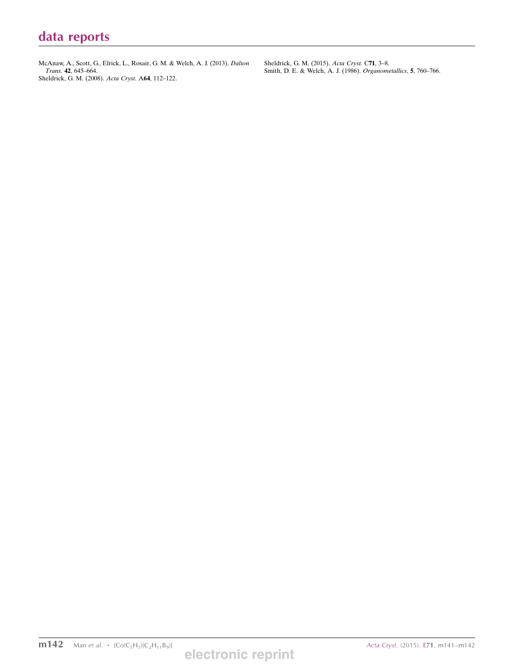## data reports

McAnaw, A., Scott, G., Elrick, L., Rosair, G. M. & Welch, A. J. (2013). Dalton Trans. 42, 645–664. Sheldrick, G. M. (2008). Acta Cryst. A64, 112–122.

Sheldrick, G. M. (2015). Acta Cryst. C71, 3–8. Smith, D. E. & Welch, A. J. (1986). Organometallics, 5, 760–766.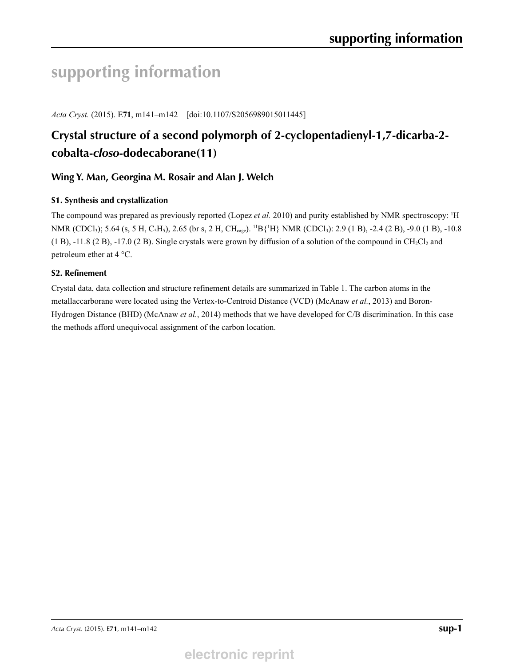# **supporting information**

*Acta Cryst.* (2015). E**71**, m141–m142 [doi:10.1107/S2056989015011445]

## **Crystal structure of a second polymorph of 2-cyclopentadienyl-1,7-dicarba-2 cobalta-***closo***-dodecaborane(11)**

## **Wing Y. Man, Georgina M. Rosair and Alan J. Welch**

### **S1. Synthesis and crystallization**

The compound was prepared as previously reported (Lopez et al. 2010) and purity established by NMR spectroscopy: <sup>1</sup>H NMR (CDCl<sub>3</sub>); 5.64 (s, 5 H, C<sub>5</sub>H<sub>5</sub>), 2.65 (br s, 2 H, CH<sub>cage</sub>). <sup>11</sup>B {<sup>1</sup>H} NMR (CDCl<sub>3</sub>): 2.9 (1 B), -2.4 (2 B), -9.0 (1 B), -10.8  $(1 B)$ ,  $-11.8 (2 B)$ ,  $-17.0 (2 B)$ . Single crystals were grown by diffusion of a solution of the compound in CH<sub>2</sub>Cl<sub>2</sub> and petroleum ether at 4 °C.

### **S2. Refinement**

Crystal data, data collection and structure refinement details are summarized in Table 1. The carbon atoms in the metallaccarborane were located using the Vertex-to-Centroid Distance (VCD) (McAnaw *et al.*, 2013) and Boron-Hydrogen Distance (BHD) (McAnaw *et al.*, 2014) methods that we have developed for C/B discrimination. In this case the methods afford unequivocal assignment of the carbon location.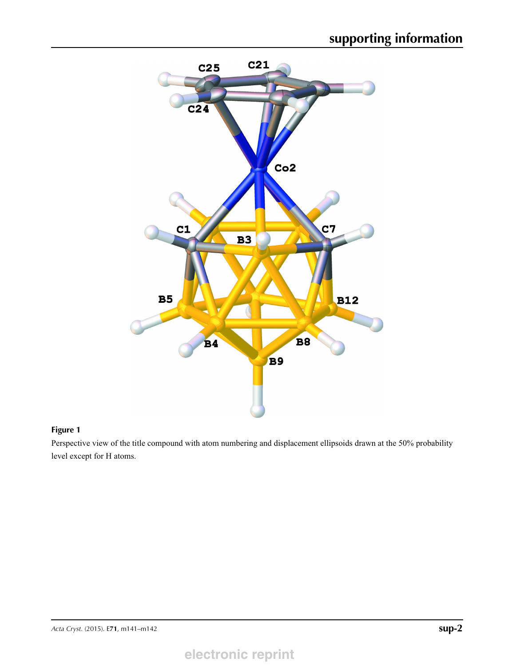

### **Figure 1**

Perspective view of the title compound with atom numbering and displacement ellipsoids drawn at the 50% probability level except for H atoms.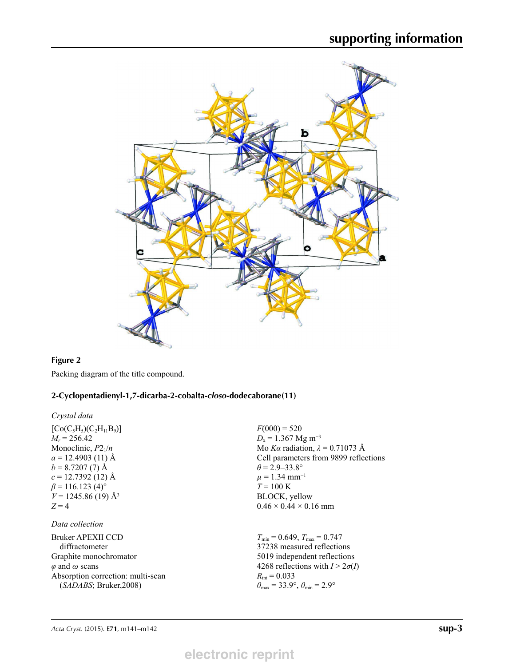

## **Figure 2**

Packing diagram of the title compound.

## **2-Cyclopentadienyl-1,7-dicarba-2-cobalta-***closo***-dodecaborane(11)**

*Crystal data*

| $[Co(C_5H_5)(C_2H_{11}B_9)]$<br>$M_r = 256.42$<br>Monoclinic, $P2_1/n$<br>$a = 12.4903(11)$ Å<br>$b = 8.7207(7)$ Å<br>$c = 12.7392$ (12) Å<br>$\beta$ = 116.123 (4) <sup>o</sup> | $F(000) = 520$<br>$D_x = 1.367$ Mg m <sup>-3</sup><br>Mo Ka radiation, $\lambda = 0.71073$ Å<br>Cell parameters from 9899 reflections<br>$\theta = 2.9 - 33.8^{\circ}$<br>$\mu = 1.34$ mm <sup>-1</sup><br>$T = 100 \text{ K}$ |
|----------------------------------------------------------------------------------------------------------------------------------------------------------------------------------|--------------------------------------------------------------------------------------------------------------------------------------------------------------------------------------------------------------------------------|
| $V = 1245.86(19)$ Å <sup>3</sup><br>$Z=4$<br>Data collection                                                                                                                     | BLOCK, yellow<br>$0.46 \times 0.44 \times 0.16$ mm                                                                                                                                                                             |
| <b>Bruker APEXII CCD</b><br>diffractometer<br>Graphite monochromator<br>$\varphi$ and $\omega$ scans<br>Absorption correction: multi-scan                                        | $T_{\min} = 0.649$ , $T_{\max} = 0.747$<br>37238 measured reflections<br>5019 independent reflections<br>4268 reflections with $I > 2\sigma(I)$<br>$R_{\text{int}} = 0.033$                                                    |
| (SADABS; Bruker,2008)                                                                                                                                                            | $\theta_{\text{max}} = 33.9^{\circ}, \theta_{\text{min}} = 2.9^{\circ}$                                                                                                                                                        |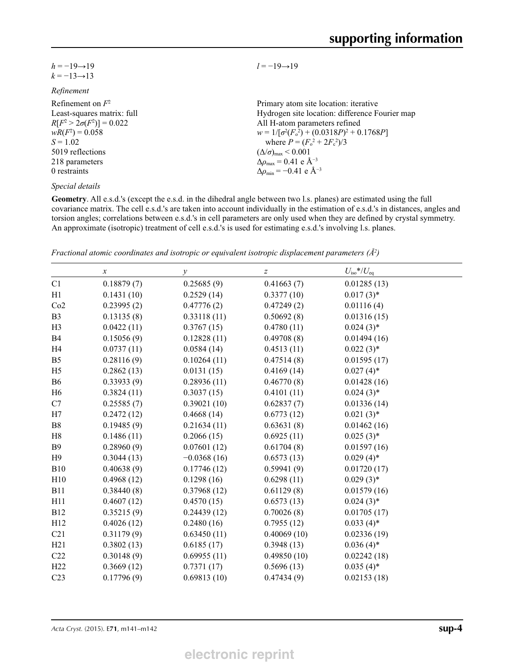| $h = -19 \rightarrow 19$ |  |
|--------------------------|--|
| $k = -13 \rightarrow 13$ |  |

### *Refinement*

| Refinement on $F^2$             | Primary atom site location: iterative                        |
|---------------------------------|--------------------------------------------------------------|
| Least-squares matrix: full      | Hydrogen site location: difference Fourier map               |
| $R[F^2 > 2\sigma(F^2)] = 0.022$ | All H-atom parameters refined                                |
| $wR(F^2) = 0.058$               | $w = 1/[\sigma^2(F_0^2) + (0.0318P)^2 + 0.1768P]$            |
| $S = 1.02$                      | where $P = (F_o^2 + 2F_c^2)/3$                               |
| 5019 reflections                | $(\Delta/\sigma)_{\text{max}}$ < 0.001                       |
| 218 parameters                  | $\Delta \rho_{\text{max}} = 0.41 \text{ e } \text{\AA}^{-3}$ |
| 0 restraints                    | $\Delta \rho_{\rm min} = -0.41$ e Å <sup>-3</sup>            |
|                                 |                                                              |

*Special details*

**Geometry**. All e.s.d.'s (except the e.s.d. in the dihedral angle between two l.s. planes) are estimated using the full covariance matrix. The cell e.s.d.'s are taken into account individually in the estimation of e.s.d.'s in distances, angles and torsion angles; correlations between e.s.d.'s in cell parameters are only used when they are defined by crystal symmetry. An approximate (isotropic) treatment of cell e.s.d.'s is used for estimating e.s.d.'s involving l.s. planes.

*l* = −19→19

| Fractional atomic coordinates and isotropic or equivalent isotropic displacement parameters $(\AA^2)$ |  |  |  |
|-------------------------------------------------------------------------------------------------------|--|--|--|
|                                                                                                       |  |  |  |

|                 | $\boldsymbol{\chi}$ | $\mathcal{Y}$ | $\boldsymbol{Z}$ | $U_{\rm iso}*/U_{\rm eq}$ |
|-----------------|---------------------|---------------|------------------|---------------------------|
| C1              | 0.18879(7)          | 0.25685(9)    | 0.41663(7)       | 0.01285(13)               |
| H1              | 0.1431(10)          | 0.2529(14)    | 0.3377(10)       | $0.017(3)$ *              |
| Co2             | 0.23995(2)          | 0.47776(2)    | 0.47249(2)       | 0.01116(4)                |
| B <sub>3</sub>  | 0.13135(8)          | 0.33118(11)   | 0.50692(8)       | 0.01316(15)               |
| H <sub>3</sub>  | 0.0422(11)          | 0.3767(15)    | 0.4780(11)       | $0.024(3)*$               |
| <b>B4</b>       | 0.15056(9)          | 0.12828(11)   | 0.49708(8)       | 0.01494(16)               |
| H4              | 0.0737(11)          | 0.0584(14)    | 0.4513(11)       | $0.022(3)*$               |
| B <sub>5</sub>  | 0.28116(9)          | 0.10264(11)   | 0.47514(8)       | 0.01595(17)               |
| H <sub>5</sub>  | 0.2862(13)          | 0.0131(15)    | 0.4169(14)       | $0.027(4)$ *              |
| <b>B6</b>       | 0.33933(9)          | 0.28936(11)   | 0.46770(8)       | 0.01428(16)               |
| H <sub>6</sub>  | 0.3824(11)          | 0.3037(15)    | 0.4101(11)       | $0.024(3)*$               |
| C7              | 0.25585(7)          | 0.39021(10)   | 0.62837(7)       | 0.01336(14)               |
| H7              | 0.2472(12)          | 0.4668(14)    | 0.6773(12)       | $0.021(3)$ *              |
| B8              | 0.19485(9)          | 0.21634(11)   | 0.63631(8)       | 0.01462(16)               |
| H <sub>8</sub>  | 0.1486(11)          | 0.2066(15)    | 0.6925(11)       | $0.025(3)$ *              |
| <b>B</b> 9      | 0.28960(9)          | 0.07601(12)   | 0.61704(8)       | 0.01597(16)               |
| H9              | 0.3044(13)          | $-0.0368(16)$ | 0.6573(13)       | $0.029(4)$ *              |
| <b>B10</b>      | 0.40638(9)          | 0.17746(12)   | 0.59941(9)       | 0.01720(17)               |
| H10             | 0.4968(12)          | 0.1298(16)    | 0.6298(11)       | $0.029(3)$ *              |
| <b>B11</b>      | 0.38440(8)          | 0.37968(12)   | 0.61129(8)       | 0.01579(16)               |
| H11             | 0.4607(12)          | 0.4570(15)    | 0.6573(13)       | $0.024(3)*$               |
| <b>B12</b>      | 0.35215(9)          | 0.24439(12)   | 0.70026(8)       | 0.01705(17)               |
| H12             | 0.4026(12)          | 0.2480(16)    | 0.7955(12)       | $0.033(4)$ *              |
| C21             | 0.31179(9)          | 0.63450(11)   | 0.40069(10)      | 0.02336(19)               |
| H21             | 0.3802(13)          | 0.6185(17)    | 0.3948(13)       | $0.036(4)$ *              |
| C22             | 0.30148(9)          | 0.69955(11)   | 0.49850(10)      | 0.02242(18)               |
| H22             | 0.3669(12)          | 0.7371(17)    | 0.5696(13)       | $0.035(4)$ *              |
| C <sub>23</sub> | 0.17796(9)          | 0.69813(10)   | 0.47434(9)       | 0.02153(18)               |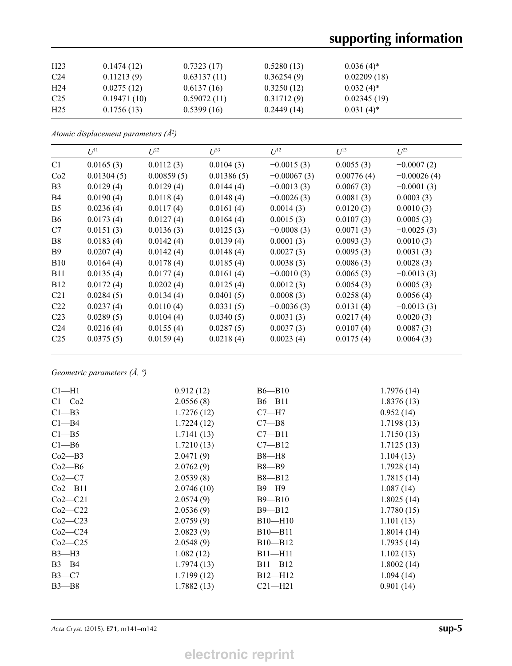| H <sub>23</sub> | 0.1474(12)  | 0.7323(17)  | 0.5280(13) | $0.036(4)$ * |
|-----------------|-------------|-------------|------------|--------------|
| C <sub>24</sub> | 0.11213(9)  | 0.63137(11) | 0.36254(9) | 0.02209(18)  |
| H <sub>24</sub> | 0.0275(12)  | 0.6137(16)  | 0.3250(12) | $0.032(4)$ * |
| C <sub>25</sub> | 0.19471(10) | 0.59072(11) | 0.31712(9) | 0.02345(19)  |
| H <sub>25</sub> | 0.1756(13)  | 0.5399(16)  | 0.2449(14) | $0.031(4)^*$ |

*Atomic displacement parameters (Å2 )*

|                 | $U^{11}$   | $L^{22}$   | $I^{\beta 3}$ | $\mathfrak{L}$ <sup>12</sup> | $U^{13}$   | $L^{23}$      |
|-----------------|------------|------------|---------------|------------------------------|------------|---------------|
| C1              | 0.0165(3)  | 0.0112(3)  | 0.0104(3)     | $-0.0015(3)$                 | 0.0055(3)  | $-0.0007(2)$  |
| Co2             | 0.01304(5) | 0.00859(5) | 0.01386(5)    | $-0.00067(3)$                | 0.00776(4) | $-0.00026(4)$ |
| B <sub>3</sub>  | 0.0129(4)  | 0.0129(4)  | 0.0144(4)     | $-0.0013(3)$                 | 0.0067(3)  | $-0.0001(3)$  |
| B4              | 0.0190(4)  | 0.0118(4)  | 0.0148(4)     | $-0.0026(3)$                 | 0.0081(3)  | 0.0003(3)     |
| B <sub>5</sub>  | 0.0236(4)  | 0.0117(4)  | 0.0161(4)     | 0.0014(3)                    | 0.0120(3)  | 0.0010(3)     |
| <b>B6</b>       | 0.0173(4)  | 0.0127(4)  | 0.0164(4)     | 0.0015(3)                    | 0.0107(3)  | 0.0005(3)     |
| C7              | 0.0151(3)  | 0.0136(3)  | 0.0125(3)     | $-0.0008(3)$                 | 0.0071(3)  | $-0.0025(3)$  |
| B8              | 0.0183(4)  | 0.0142(4)  | 0.0139(4)     | 0.0001(3)                    | 0.0093(3)  | 0.0010(3)     |
| <b>B</b> 9      | 0.0207(4)  | 0.0142(4)  | 0.0148(4)     | 0.0027(3)                    | 0.0095(3)  | 0.0031(3)     |
| <b>B10</b>      | 0.0164(4)  | 0.0178(4)  | 0.0185(4)     | 0.0038(3)                    | 0.0086(3)  | 0.0028(3)     |
| <b>B11</b>      | 0.0135(4)  | 0.0177(4)  | 0.0161(4)     | $-0.0010(3)$                 | 0.0065(3)  | $-0.0013(3)$  |
| <b>B12</b>      | 0.0172(4)  | 0.0202(4)  | 0.0125(4)     | 0.0012(3)                    | 0.0054(3)  | 0.0005(3)     |
| C <sub>21</sub> | 0.0284(5)  | 0.0134(4)  | 0.0401(5)     | 0.0008(3)                    | 0.0258(4)  | 0.0056(4)     |
| C <sub>22</sub> | 0.0237(4)  | 0.0110(4)  | 0.0331(5)     | $-0.0036(3)$                 | 0.0131(4)  | $-0.0013(3)$  |
| C <sub>23</sub> | 0.0289(5)  | 0.0104(4)  | 0.0340(5)     | 0.0031(3)                    | 0.0217(4)  | 0.0020(3)     |
| C <sub>24</sub> | 0.0216(4)  | 0.0155(4)  | 0.0287(5)     | 0.0037(3)                    | 0.0107(4)  | 0.0087(3)     |
| C <sub>25</sub> | 0.0375(5)  | 0.0159(4)  | 0.0218(4)     | 0.0023(4)                    | 0.0175(4)  | 0.0064(3)     |

*Geometric parameters (Å, º)*

| $Cl-H1$            | 0.912(12)  | $B6 - B10$  | 1.7976(14) |
|--------------------|------------|-------------|------------|
| $C1-Co2$           | 2.0556(8)  | $B6 - B11$  | 1.8376(13) |
| $C1 - B3$          | 1.7276(12) | $C7 - H7$   | 0.952(14)  |
| Cl <sub>–</sub> B4 | 1.7224(12) | $C7 - B8$   | 1.7198(13) |
| $C1 - B5$          | 1.7141(13) | $C7 - B11$  | 1.7150(13) |
| $C1 - B6$          | 1.7210(13) | $C7 - B12$  | 1.7125(13) |
| $Co2-B3$           | 2.0471(9)  | $B8 - H8$   | 1.104(13)  |
| Co2—B6             | 2.0762(9)  | $B8 - B9$   | 1.7928(14) |
| $Co2-C7$           | 2.0539(8)  | $B8 - B12$  | 1.7815(14) |
| $Co2 - B11$        | 2.0746(10) | $B9 - H9$   | 1.087(14)  |
| $Co2-C21$          | 2.0574(9)  | $B9 - B10$  | 1.8025(14) |
| $Co2-C22$          | 2.0536(9)  | $B9 - B12$  | 1.7780(15) |
| $Co2-C23$          | 2.0759(9)  | $B10-H10$   | 1.101(13)  |
| $Co2-C24$          | 2.0823(9)  | $B10 - B11$ | 1.8014(14) |
| $Co2-C25$          | 2.0548(9)  | $B10 - B12$ | 1.7935(14) |
| $B3-H3$            | 1.082(12)  | $B11 - H11$ | 1.102(13)  |
| $B3 - B4$          | 1.7974(13) | $B11 - B12$ | 1.8002(14) |
| $B3-C7$            | 1.7199(12) | $B12 - H12$ | 1.094(14)  |
| $B3 - B8$          | 1.7882(13) | $C21 - H21$ | 0.901(14)  |
|                    |            |             |            |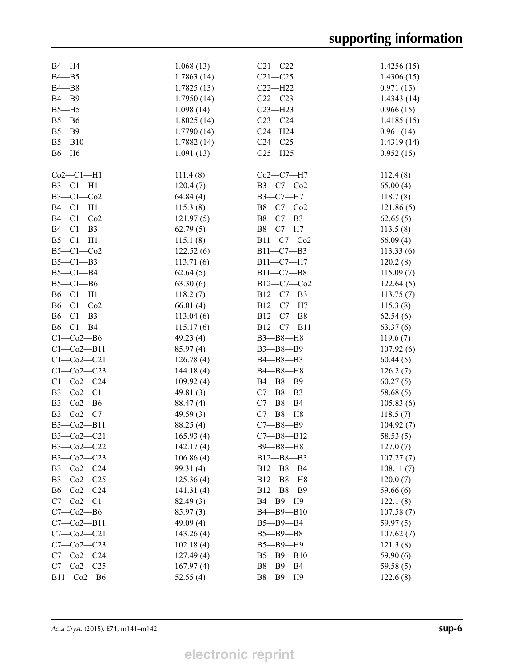| B4-H4                | 1.068(13)   | $C21 - C22$                | 1.4256(15) |
|----------------------|-------------|----------------------------|------------|
| $B4 - B5$            | 1.7863(14)  | $C21 - C25$                | 1.4306(15) |
| $B4 - B8$            | 1.7825(13)  | $C22 - H22$                | 0.971(15)  |
| $B4 - B9$            | 1.7950(14)  | $C22-C23$                  | 1.4343(14) |
| $B5 - H5$            | 1.098(14)   | $C23 - H23$                | 0.966(15)  |
| $B5 - B6$            | 1.8025(14)  | $C23-C24$                  | 1.4185(15) |
| $B5 - B9$            | 1.7790(14)  | $C24 - H24$                | 0.961(14)  |
| $B5 - B10$           | 1.7882(14)  | $C24 - C25$                | 1.4319(14) |
| $B6 - H6$            | 1.091(13)   | $C25 - H25$                | 0.952(15)  |
|                      |             |                            |            |
| $Co2-C1-H1$          | 111.4(8)    | $Co2-C7-H7$                | 112.4(8)   |
| $B3-C1-H1$           | 120.4(7)    | B3-C7-Co2                  | 65.00(4)   |
| $B3-C1-Co2$          | 64.84(4)    | $B3-C7-H7$                 | 118.7(8)   |
| $B4-C1-H1$           | 115.3(8)    | B8-C7-Co2                  | 121.86(5)  |
| $B4-C1-Co2$          | 121.97(5)   | $B8 - C7 - B3$             | 62.65(5)   |
| $B4-C1-B3$           | 62.79(5)    | B8-C7-H7                   | 113.5(8)   |
| $B5-C1-H1$           | 115.1(8)    | B11-C7-Co2                 | 66.09(4)   |
| $B5-C1-C02$          | 122.52(6)   | $B11 - C7 - B3$            | 113.33(6)  |
| $B5-C1-B3$           | 113.71(6)   | B11-C7-H7                  | 120.2(8)   |
| $B5-C1-B4$           | 62.64(5)    | $B11 - C7 - B8$            | 115.09(7)  |
| $B5-C1-B6$           | 63.30(6)    | B12-C7-Co2                 | 122.64(5)  |
| $B6-C1-H1$           | 118.2(7)    | $B12-C7-B3$                | 113.75(7)  |
| $B6-C1-C02$          | 66.01(4)    | B12-C7-H7                  | 115.3(8)   |
| $B6-C1-B3$           | 113.04(6)   | $B12 - C7 - B8$            | 62.54(6)   |
| $B6-C1-B4$           | 115.17(6)   | $B12-C7-B11$               | 63.37(6)   |
| $C1-Co2-B6$          | 49.23(4)    | B3-B8-H8                   | 119.6(7)   |
| $Cl$ - $Co2$ - $B11$ | 85.97(4)    | B3-B8-B9                   | 107.92(6)  |
| $C1 - C02 - C21$     | 126.78(4)   | B4-B8-B3                   | 60.44(5)   |
| $C1-Co2-C23$         | 144.18(4)   | B4-B8-H8                   | 126.2(7)   |
|                      |             |                            |            |
| $C1 - C02 - C24$     | 109.92(4)   | B4-B8-B9<br>$C7 - B8 - B3$ | 60.27(5)   |
| $B3-Co2-C1$          | 49.81 (3)   |                            | 58.68(5)   |
| $B3-Co2-B6$          | 88.47 (4)   | $C7 - B8 - B4$             | 105.83(6)  |
| $B3-Co2-C7$          | 49.59 $(3)$ | $C7 - B8 - H8$             | 118.5(7)   |
| $B3-Co2-B11$         | 88.25 (4)   | $C7 - B8 - B9$             | 104.92(7)  |
| B3-Co2-C21           | 165.93(4)   | $C7 - B8 - B12$            | 58.53(5)   |
| $B3-Co2-C22$         | 142.17(4)   | B9-B8-H8                   | 127.0(7)   |
| $B3-Co2-C23$         | 106.86(4)   | $B12 - B8 - B3$            | 107.27(7)  |
| $B3-Co2-C24$         | 99.31 (4)   | $B12 - B8 - B4$            | 108.11(7)  |
| B3-Co2-C25           | 125.36(4)   | $B12 - B8 - H8$            | 120.0(7)   |
| $B6-Co2-C24$         | 141.31(4)   | $B12 - B8 - B9$            | 59.66 (6)  |
| $C7-Co2-C1$          | 82.49 (3)   | B4-B9-H9                   | 122.1(8)   |
| $C7-Co2-B6$          | 85.97(3)    | B4-B9-B10                  | 107.58(7)  |
| $C7-Co2-B11$         | 49.09 (4)   | $B5 - B9 - B4$             | 59.97(5)   |
| $C7 - C02 - C21$     | 143.26(4)   | $B5 - B9 - B8$             | 107.62(7)  |
| $C7 - C02 - C23$     | 102.18(4)   | B5-B9-H9                   | 121.3(8)   |
| $C7-Co2-C24$         | 127.49(4)   | $B5 - B9 - B10$            | 59.90(6)   |
| $C7-Co2-C25$         | 167.97(4)   | $B8 - B9 - B4$             | 59.58(5)   |
| $B11-Co2-B6$         | 52.55(4)    | B8-B9-H9                   | 122.6(8)   |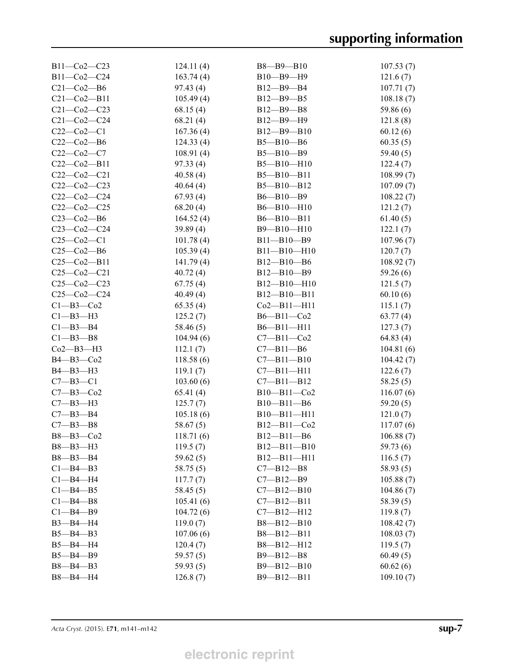| $B11-Co2-C23$     | 124.11(4) | $B8 - B9 - B10$   | 107.53(7)  |
|-------------------|-----------|-------------------|------------|
| B11-Co2-C24       | 163.74(4) | $B10 - B9 - H9$   | 121.6(7)   |
| $C21-Co2-B6$      | 97.43 (4) | $B12 - B9 - B4$   | 107.71(7)  |
| $C21 - Co2 - B11$ | 105.49(4) | $B12 - B9 - B5$   | 108.18(7)  |
| $C21-Co2-C23$     | 68.15(4)  | B12-B9-B8         | 59.86(6)   |
| $C21-Co2-C24$     | 68.21(4)  | B12-B9-H9         | 121.8(8)   |
| $C22-C02-C1$      | 167.36(4) | $B12 - B9 - B10$  | 60.12(6)   |
| $C22-Co2-B6$      | 124.33(4) | $B5 - B10 - B6$   | 60.35(5)   |
| $C22-Co2-C7$      | 108.91(4) | $B5 - B10 - B9$   | 59.40(5)   |
| $C22-Co2-B11$     | 97.33(4)  | $B5 - B10 - H10$  | 122.4(7)   |
| $C22-C02-C21$     | 40.58(4)  | $B5 - B10 - B11$  | 108.99 (7) |
| $C22-Co2-C23$     | 40.64(4)  | $B5 - B10 - B12$  | 107.09(7)  |
| $C22-Co2-C24$     | 67.93(4)  | $B6 - B10 - B9$   | 108.22(7)  |
| $C22-Co2-C25$     | 68.20(4)  | $B6 - B10 - H10$  | 121.2(7)   |
| $C23-Co2-B6$      | 164.52(4) | $B6 - B10 - B11$  | 61.40(5)   |
| $C23-Co2-C24$     | 39.89(4)  | $B9 - B10 - H10$  | 122.1(7)   |
| $C25-C02-C1$      | 101.78(4) | $B11 - B10 - B9$  | 107.96(7)  |
| $C25-Co2-B6$      | 105.39(4) | $B11 - B10 - H10$ | 120.7(7)   |
| $C25-Co2-B11$     | 141.79(4) | $B12 - B10 - B6$  | 108.92(7)  |
| $C25-C02-C21$     | 40.72(4)  | $B12 - B10 - B9$  | 59.26 (6)  |
| $C25-C02-C23$     | 67.75(4)  | $B12 - B10 - H10$ | 121.5(7)   |
| $C25-C02-C24$     | 40.49(4)  | $B12 - B10 - B11$ | 60.10(6)   |
| $C1 - B3 - C02$   | 65.35(4)  | $Co2 - B11 - H11$ | 115.1(7)   |
| $C1 - B3 - H3$    | 125.2(7)  | $B6 - B11 - Co2$  | 63.77(4)   |
| $C1 - B3 - B4$    | 58.46 (5) | $B6 - B11 - H11$  | 127.3(7)   |
| $C1 - B3 - B8$    | 104.94(6) | $C7 - B11 - Co2$  | 64.83 (4)  |
| Co2—B3—H3         | 112.1(7)  | $C7 - B11 - B6$   | 104.81(6)  |
| B4-B3-Co2         | 118.58(6) | $C7 - B11 - B10$  | 104.42(7)  |
| $B4 - B3 - H3$    | 119.1(7)  | $C7 - B11 - H11$  | 122.6(7)   |
| $C7 - B3 - C1$    | 103.60(6) | $C7 - B11 - B12$  | 58.25(5)   |
| $C7 - B3 - C02$   | 65.41(4)  | $B10 - B11 - Co2$ | 116.07(6)  |
| $C7 - B3 - H3$    | 125.7(7)  | $B10 - B11 - B6$  | 59.20(5)   |
| $C7 - B3 - B4$    | 105.18(6) | $B10 - B11 - H11$ | 121.0(7)   |
| $C7 - B3 - B8$    | 58.67(5)  | $B12 - B11 - Co2$ | 117.07(6)  |
| B8-B3-Co2         | 118.71(6) | $B12 - B11 - B6$  | 106.88(7)  |
| $B8 - B3 - H3$    | 119.5(7)  | $B12 - B11 - B10$ | 59.73 (6)  |
| $B8 - B3 - B4$    | 59.62(5)  | $B12 - B11 - H11$ | 116.5(7)   |
| $C1 - B4 - B3$    | 58.75 (5) | $C7 - B12 - B8$   | 58.93(5)   |
| $Cl$ -B4-H4       | 117.7(7)  | $C7 - B12 - B9$   | 105.88(7)  |
| $C1 - B4 - B5$    | 58.45(5)  | $C7 - B12 - B10$  | 104.86(7)  |
| $C1 - B4 - B8$    | 105.41(6) | $C7 - B12 - B11$  | 58.39(5)   |
| $C1 - B4 - B9$    | 104.72(6) | $C7 - B12 - H12$  | 119.8(7)   |
| $B3 - B4 - H4$    | 119.0(7)  | $B8 - B12 - B10$  | 108.42(7)  |
| $B5 - B4 - B3$    | 107.06(6) | $B8 - B12 - B11$  | 108.03(7)  |
| $B5 - B4 - H4$    | 120.4(7)  | $B8 - B12 - H12$  | 119.5(7)   |
| $B5 - B4 - B9$    | 59.57(5)  | $B9 - B12 - B8$   | 60.49(5)   |
| $B8 - B4 - B3$    | 59.93(5)  | $B9 - B12 - B10$  | 60.62(6)   |
| B8-B4-H4          | 126.8(7)  | $B9 - B12 - B11$  | 109.10(7)  |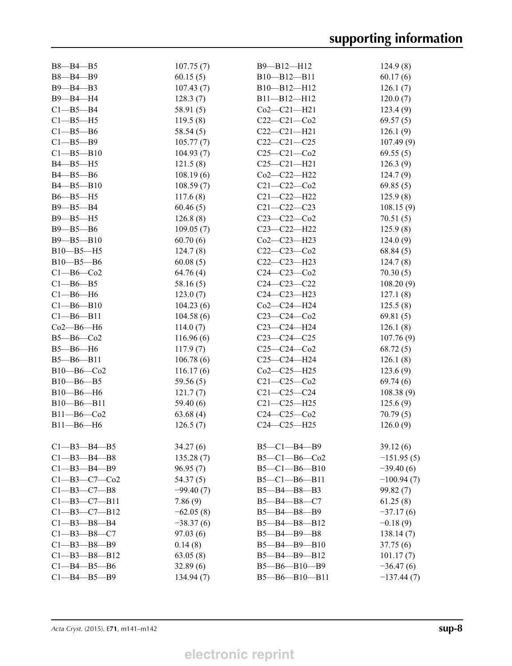| $B8 - B4 - B5$       | 107.75(7)   | $B9 - B12 - H12$      | 124.9(8)     |
|----------------------|-------------|-----------------------|--------------|
| B8-B4-B9             | 60.15(5)    | B10-B12-B11           | 60.17(6)     |
| $B9 - B4 - B3$       | 107.43(7)   | B10-B12-H12           | 126.1(7)     |
| B9-B4-H4             | 128.3(7)    | $B11 - B12 - H12$     | 120.0(7)     |
| $C1 - B5 - B4$       | 58.91 (5)   | $Co2-C21-H21$         | 123.4(9)     |
| $Cl-B5-H5$           | 119.5(8)    | $C22-C21-C02$         | 69.57(5)     |
| $C1 - B5 - B6$       | 58.54(5)    | $C22-C21-H21$         | 126.1(9)     |
| $C1 - B5 - B9$       | 105.77(7)   | $C22-C21-C25$         | 107.49(9)    |
| $C1 - B5 - B10$      | 104.93(7)   | $C25 - C21 - C02$     | 69.55(5)     |
| $B4 - B5 - H5$       | 121.5(8)    | $C25 - C21 - H21$     | 126.3(9)     |
| B4-B5-B6             | 108.19(6)   | Co2-C22-H22           | 124.7(9)     |
| $B4 - B5 - B10$      | 108.59(7)   | $C21 - C22 - C02$     | 69.85(5)     |
| $B6 - B5 - H5$       | 117.6(8)    | $C21 - C22 - H22$     | 125.9(8)     |
| $B9 - B5 - B4$       | 60.46(5)    | $C21 - C22 - C23$     | 108.15(9)    |
| $B9 - B5 - H5$       | 126.8(8)    | $C23-C22-C02$         | 70.51(5)     |
| B9-B5-B6             | 109.05(7)   | $C23 - C22 - H22$     | 125.9(8)     |
| $B9 - B5 - B10$      | 60.70(6)    | $Co2-C23-H23$         | 124.0(9)     |
| $B10 - B5 - H5$      | 124.7(8)    | $C22-C23-C02$         | 68.84(5)     |
| B10-B5-B6            | 60.08(5)    | $C22-C23-H23$         | 124.7(8)     |
| $C1 - B6 - C02$      | 64.76(4)    | $C24 - C23 - C02$     | 70.30(5)     |
| $C1 - B6 - B5$       | 58.16(5)    | $C24 - C23 - C22$     | 108.20(9)    |
| $Cl$ -B6-H6          | 123.0(7)    | $C24 - C23 - H23$     | 127.1(8)     |
| $C1 - B6 - B10$      | 104.23(6)   | Co2-C24-H24           | 125.5(8)     |
| Cl—B6—B11            | 104.58(6)   | $C23-C24-C02$         | 69.81(5)     |
| Co2—B6—H6            | 114.0(7)    | $C23-C24-H24$         | 126.1(8)     |
| $B5 - B6 - Co2$      | 116.96(6)   | $C23-C24-C25$         | 107.76(9)    |
| $B5 - B6 - H6$       | 117.9(7)    | $C25-C24-C02$         | 68.72(5)     |
| $B5 - B6 - B11$      | 106.78(6)   | $C25-C24-H24$         | 126.1(8)     |
| $B10 - B6 - Co2$     | 116.17(6)   | $Co2-C25-H25$         | 123.6(9)     |
| $B10 - B6 - B5$      | 59.56(5)    | $C21 - C25 - C02$     | 69.74(6)     |
| $B10 - B6 - H6$      | 121.7(7)    | $C21 - C25 - C24$     | 108.38(9)    |
| $B10 - B6 - B11$     | 59.40 (6)   | $C21 - C25 - H25$     | 125.6(9)     |
| $B11 - B6 - Co2$     | 63.68(4)    | $C24 - C25 - C02$     | 70.79(5)     |
| $B11 - B6 - H6$      | 126.5(7)    | $C24-C25-H25$         | 126.0(9)     |
|                      |             |                       |              |
| $C1 - B3 - B4 - B5$  | 34.27(6)    | $B5 - C1 - B4 - B9$   | 39.12(6)     |
| $C1 - B3 - B4 - B8$  | 135.28(7)   | $B5-C1-B6-Co2$        | $-151.95(5)$ |
| $Cl$ -B3-B4-B9       | 96.95(7)    | $B5 - C1 - B6 - B10$  | $-39.40(6)$  |
| $C1 - B3 - C7 - C02$ | 54.37(5)    | $B5-C1-B6-B11$        | $-100.94(7)$ |
| $C1 - B3 - C7 - B8$  | $-99.40(7)$ | $B5 - B4 - B8 - B3$   | 99.82 (7)    |
| $C1 - B3 - C7 - B11$ | 7.86(9)     | $B5 - B4 - B8 - C7$   | 61.25(8)     |
| $C1 - B3 - C7 - B12$ | $-62.05(8)$ | B5-B4-B8-B9           | $-37.17(6)$  |
| $C1 - B3 - B8 - B4$  | $-38.37(6)$ | $B5 - B4 - B8 - B12$  | $-0.18(9)$   |
| $C1 - B3 - B8 - C7$  | 97.03(6)    | B5-B4-B9-B8           | 138.14(7)    |
| $Cl - B3 - B8 - B9$  | 0.14(8)     | $B5 - B4 - B9 - B10$  | 37.75(6)     |
| $C1 - B3 - B8 - B12$ | 63.05(8)    | $B5 - B4 - B9 - B12$  | 101.17(7)    |
| $C1 - B4 - B5 - B6$  | 32.89(6)    | $B5 - B6 - B10 - B9$  | $-36.47(6)$  |
| $C1 - B4 - B5 - B9$  | 134.94(7)   | $B5 - B6 - B10 - B11$ | $-137.44(7)$ |
|                      |             |                       |              |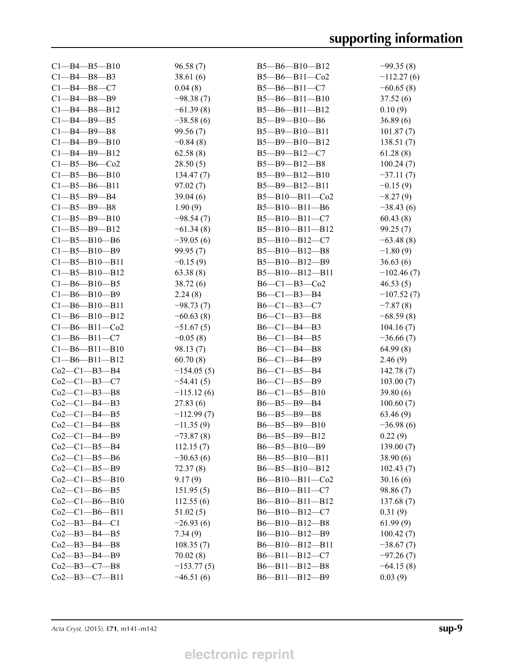| $C1 - B4 - B5 - B10$  | 96.58(7)     | $B5 - B6 - B10 - B12$  | $-99.35(8)$  |
|-----------------------|--------------|------------------------|--------------|
| $C1 - B4 - B8 - B3$   | 38.61(6)     | $B5 - B6 - B11 - C02$  | $-112.27(6)$ |
| $C1 - B4 - B8 - C7$   | 0.04(8)      | $B5 - B6 - B11 - C7$   | $-60.65(8)$  |
| $C1 - B4 - B8 - B9$   | $-98.38(7)$  | $B5 - B6 - B11 - B10$  | 37.52(6)     |
| $C1 - B4 - B8 - B12$  | $-61.39(8)$  | $B5 - B6 - B11 - B12$  | 0.10(9)      |
| $Cl$ -B4-B9-B5        | $-38.58(6)$  | $B5 - B9 - B10 - B6$   | 36.89(6)     |
| $C1 - B4 - B9 - B8$   | 99.56(7)     | $B5 - B9 - B10 - B11$  | 101.87(7)    |
| $C1 - B4 - B9 - B10$  | $-0.84(8)$   | $B5 - B9 - B10 - B12$  | 138.51(7)    |
| $C1 - B4 - B9 - B12$  | 62.58(8)     | $B5 - B9 - B12 - C7$   | 61.28(8)     |
| $C1 - B5 - B6 - C02$  | 28.50(5)     | $B5 - B9 - B12 - B8$   | 100.24(7)    |
| $C1 - B5 - B6 - B10$  | 134.47(7)    | $B5 - B9 - B12 - B10$  | $-37.11(7)$  |
| $C1 - B5 - B6 - B11$  | 97.02(7)     | $B5 - B9 - B12 - B11$  | $-0.15(9)$   |
| $C1 - B5 - B9 - B4$   | 39.04(6)     | $B5 - B10 - B11 - Co2$ | $-8.27(9)$   |
| $C1 - B5 - B9 - B8$   | 1.90(9)      | $B5 - B10 - B11 - B6$  | $-38.43(6)$  |
| $C1 - B5 - B9 - B10$  | $-98.54(7)$  | $B5 - B10 - B11 - C7$  | 60.43(8)     |
| $C1 - B5 - B9 - B12$  | $-61.34(8)$  | $B5 - B10 - B11 - B12$ | 99.25(7)     |
| $C1 - B5 - B10 - B6$  | $-39.05(6)$  | $B5 - B10 - B12 - C7$  | $-63.48(8)$  |
| $C1 - B5 - B10 - B9$  | 99.95(7)     | $B5 - B10 - B12 - B8$  | $-1.80(9)$   |
| $C1 - B5 - B10 - B11$ | $-0.15(9)$   | $B5 - B10 - B12 - B9$  | 36.63(6)     |
| $C1 - B5 - B10 - B12$ | 63.38(8)     | B5-B10-B12-B11         | $-102.46(7)$ |
| $C1 - B6 - B10 - B5$  | 38.72(6)     | $B6-C1-B3-C02$         | 46.53(5)     |
| $C1 - B6 - B10 - B9$  | 2.24(8)      | $B6-C1-B3-B4$          | $-107.52(7)$ |
| $C1 - B6 - B10 - B11$ | $-98.73(7)$  | $B6-C1-B3-C7$          | $-7.87(8)$   |
| $C1 - B6 - B10 - B12$ | $-60.63(8)$  | $B6-C1-B3-B8$          | $-68.59(8)$  |
| $C1 - B6 - B11 - C02$ | $-51.67(5)$  | $B6-C1-B4-B3$          | 104.16(7)    |
| $C1 - B6 - B11 - C7$  | $-0.05(8)$   | $B6-C1-B4-B5$          | $-36.66(7)$  |
| $C1 - B6 - B11 - B10$ | 98.13(7)     | $B6-C1-B4-B8$          | 64.99(8)     |
| $C1 - B6 - B11 - B12$ | 60.70(8)     | $B6 - C1 - B4 - B9$    | 2.46(9)      |
| $Co2-C1-B3-B4$        | $-154.05(5)$ | $B6 - C1 - B5 - B4$    | 142.78(7)    |
| $Co2-C1-B3-C7$        | $-54.41(5)$  | $B6-C1-B5-B9$          | 103.00(7)    |
| $Co2-C1-B3-B8$        | $-115.12(6)$ | $B6 - C1 - B5 - B10$   | 39.80(6)     |
| $Co2-C1-B4-B3$        | 27.83(6)     | $B6 - B5 - B9 - B4$    | 100.60(7)    |
| Co2—Cl—B4—B5          | $-112.99(7)$ | $B6 - B5 - B9 - B8$    | 63.46 (9)    |
| $Co2-C1-B4-B8$        | $-11.35(9)$  | $B6 - B5 - B9 - B10$   | $-36.98(6)$  |
| $Co2-C1-B4-B9$        | $-73.87(8)$  | B6-B5-B9-B12           | 0.22(9)      |
| $Co2-C1-B5-B4$        | 112.15(7)    | B6-B5-B10-B9           | 139.00(7)    |
| $Co2-C1-B5-B6$        | $-30.63(6)$  | B6-B5-B10-B11          | 38.90(6)     |
| $Co2-C1-B5-B9$        |              | B6-B5-B10-B12          |              |
|                       | 72.37 (8)    |                        | 102.43(7)    |
| $Co2-C1-B5-B10$       | 9.17(9)      | $B6 - B10 - B11 - Co2$ | 30.16(6)     |
| Co2—Cl—B6—B5          | 151.95(5)    | $B6 - B10 - B11 - C7$  | 98.86 (7)    |
| $Co2-C1-B6-B10$       | 112.55(6)    | $B6 - B10 - B11 - B12$ | 137.68 (7)   |
| $Co2-C1-B6-B11$       | 51.02(5)     | $B6 - B10 - B12 - C7$  | 0.31(9)      |
| Co2—B3—B4—C1          | $-26.93(6)$  | $B6 - B10 - B12 - B8$  | 61.99(9)     |
| Co2—B3—B4—B5          | 7.34(9)      | $B6 - B10 - B12 - B9$  | 100.42(7)    |
| Co2—B3—B4—B8          | 108.35(7)    | $B6 - B10 - B12 - B11$ | $-38.67(7)$  |
| Co2—B3—B4—B9          | 70.02(8)     | $B6 - B11 - B12 - C7$  | $-97.26(7)$  |
| Co2—B3—C7—B8          | $-153.77(5)$ | $B6 - B11 - B12 - B8$  | $-64.15(8)$  |
| $Co2-B3-C7-B11$       | $-46.51(6)$  | $B6 - B11 - B12 - B9$  | 0.03(9)      |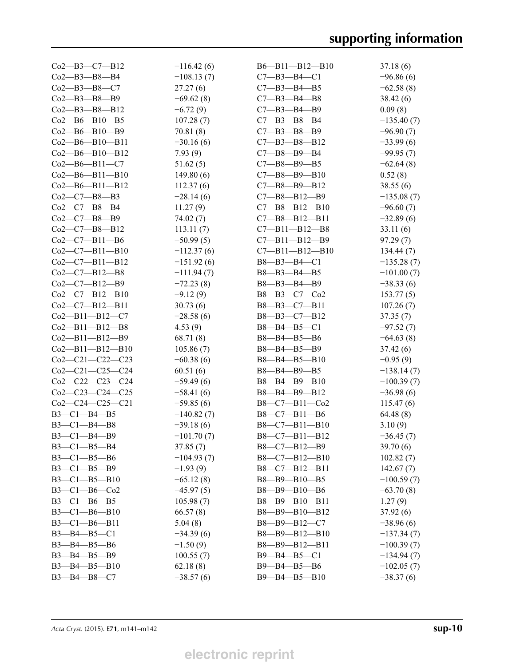| Co2—B3—C7—B12          | $-116.42(6)$ | $B6 - B11 - B12 - B10$ | 37.18(6)     |
|------------------------|--------------|------------------------|--------------|
| Co2—B3—B8—B4           | $-108.13(7)$ | $C7 - B3 - B4 - C1$    | $-96.86(6)$  |
| $Co2 - B3 - B8 - C7$   | 27.27(6)     | $C7 - B3 - B4 - B5$    | $-62.58(8)$  |
| Co2—B3—B8—B9           | $-69.62(8)$  | $C7 - B3 - B4 - B8$    | 38.42(6)     |
| Co2—B3—B8—B12          | $-6.72(9)$   | $C7 - B3 - B4 - B9$    | 0.09(8)      |
| Co2—B6—B10—B5          | 107.28(7)    | $C7 - B3 - B8 - B4$    | $-135.40(7)$ |
| Co2—B6—B10—B9          | 70.81(8)     | $C7 - B3 - B8 - B9$    | $-96.90(7)$  |
| Co2—B6—B10—B11         | $-30.16(6)$  | $C7 - B3 - B8 - B12$   | $-33.99(6)$  |
| Co2—B6—B10—B12         | 7.93(9)      | $C7 - B8 - B9 - B4$    | $-99.95(7)$  |
| Co2—B6—B11—C7          | 51.62(5)     | $C7 - B8 - B9 - B5$    | $-62.64(8)$  |
| Co2—B6—B11—B10         | 149.80(6)    | $C7 - B8 - B9 - B10$   | 0.52(8)      |
| Co2—B6—B11—B12         | 112.37(6)    | $C7 - B8 - B9 - B12$   | 38.55(6)     |
| $Co2-C7-B8-B3$         | $-28.14(6)$  | $C7 - B8 - B12 - B9$   | $-135.08(7)$ |
| $Co2-C7-B8-B4$         | 11.27(9)     | $C7 - B8 - B12 - B10$  | $-96.60(7)$  |
| $Co2-C7-B8-B9$         | 74.02(7)     | $C7 - B8 - B12 - B11$  | $-32.89(6)$  |
| $Co2-C7-B8-B12$        | 113.11(7)    | $C7 - B11 - B12 - B8$  | 33.11(6)     |
| $Co2-C7-B11-B6$        | $-50.99(5)$  | $C7 - B11 - B12 - B9$  | 97.29(7)     |
| $Co2-C7-B11-B10$       | $-112.37(6)$ | $C7 - B11 - B12 - B10$ | 134.44(7)    |
| $Co2-C7-B11-B12$       | $-151.92(6)$ | B8-B3-B4-C1            | $-135.28(7)$ |
| $Co2-C7-B12-B8$        | $-111.94(7)$ | $B8 - B3 - B4 - B5$    | $-101.00(7)$ |
| $Co2-C7-B12-B9$        | $-72.23(8)$  | $B8 - B3 - B4 - B9$    | $-38.33(6)$  |
| $Co2-C7-B12-B10$       | $-9.12(9)$   | $B8 - B3 - C7 - C02$   | 153.77(5)    |
| $Co2-C7-B12-B11$       | 30.73(6)     | $B8 - B3 - C7 - B11$   | 107.26(7)    |
| $Co2 - B11 - B12 - C7$ | $-28.58(6)$  | $B8 - B3 - C7 - B12$   | 37.35(7)     |
|                        |              |                        |              |
| $Co2 - B11 - B12 - B8$ | 4.53(9)      | $B8 - B4 - B5 - C1$    | $-97.52(7)$  |
| Co2—B11—B12—B9         | 68.71 (8)    | $B8 - B4 - B5 - B6$    | $-64.63(8)$  |
| Co2—B11—B12—B10        | 105.86(7)    | $B8 - B4 - B5 - B9$    | 37.42(6)     |
| $Co2-C21-C22-C23$      | $-60.38(6)$  | $B8 - B4 - B5 - B10$   | $-0.95(9)$   |
| $Co2-C21-C25-C24$      | 60.51(6)     | $B8 - B4 - B9 - B5$    | $-138.14(7)$ |
| $Co2-C22-C23-C24$      | $-59.49(6)$  | $B8 - B4 - B9 - B10$   | $-100.39(7)$ |
| $Co2-C23-C24-C25$      | $-58.41(6)$  | B8-B4-B9-B12           | $-36.98(6)$  |
| $Co2-C24-C25-C21$      | $-59.85(6)$  | $B8-C7-B11-Co2$        | 115.47(6)    |
| $B3-C1-B4-B5$          | $-140.82(7)$ | $B8-C7-B11-B6$         | 64.48(8)     |
| $B3 - C1 - B4 - B8$    | $-39.18(6)$  | $B8-C7-B11-B10$        | 3.10(9)      |
| $B3-C1-B4-B9$          | $-101.70(7)$ | $B8-C7-B11-B12$        | $-36.45(7)$  |
| $B3-C1-B5-B4$          | 37.85(7)     | $B8-C7-B12-B9$         | 39.70(6)     |
| $B3-C1-B5-B6$          | $-104.93(7)$ | $B8-C7-B12-B10$        | 102.82(7)    |
| $B3-C1-B5-B9$          | $-1.93(9)$   | $B8-C7-B12-B11$        | 142.67(7)    |
| $B3 - C1 - B5 - B10$   | $-65.12(8)$  | B8-B9-B10-B5           | $-100.59(7)$ |
| $B3-C1-B6-Co2$         | $-45.97(5)$  | B8-B9-B10-B6           | $-63.70(8)$  |
| $B3-C1-B6-B5$          | 105.98(7)    | $B8 - B9 - B10 - B11$  | 1.27(9)      |
| $B3 - C1 - B6 - B10$   | 66.57(8)     | $B8 - B9 - B10 - B12$  | 37.92(6)     |
| $B3-C1-B6-B11$         | 5.04(8)      | B8-B9-B12-C7           | $-38.96(6)$  |
| $B3 - B4 - B5 - C1$    | $-34.39(6)$  | B8-B9-B12-B10          | $-137.34(7)$ |
| $B3 - B4 - B5 - B6$    | $-1.50(9)$   | $B8 - B9 - B12 - B11$  | $-100.39(7)$ |
| $B3 - B4 - B5 - B9$    | 100.55(7)    | $B9 - B4 - B5 - C1$    | $-134.94(7)$ |
| $B3 - B4 - B5 - B10$   | 62.18(8)     | $B9 - B4 - B5 - B6$    | $-102.05(7)$ |
| $B3 - B4 - B8 - C7$    | $-38.57(6)$  | B9-B4-B5-B10           | $-38.37(6)$  |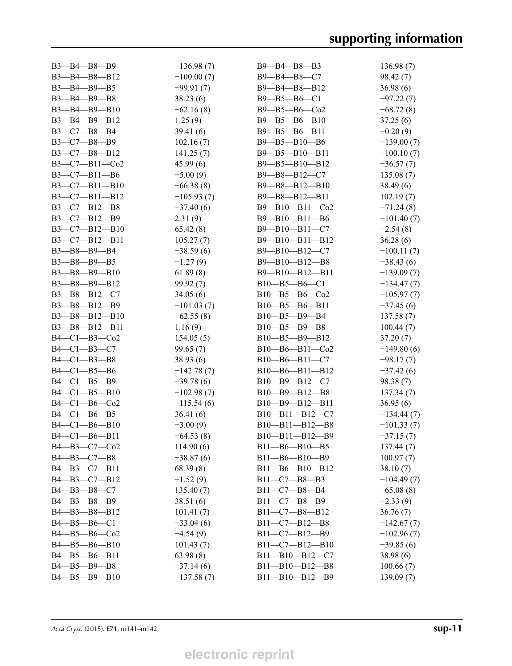| $B3 - B4 - B8 - B9$   | $-136.98(7)$ | $B9 - B4 - B8 - B3$    | 136.98(7)    |
|-----------------------|--------------|------------------------|--------------|
| B3-B4-B8-B12          | $-100.00(7)$ | B9-B4-B8-C7            | 98.42(7)     |
| $B3 - B4 - B9 - B5$   | $-99.91(7)$  | $B9 - B4 - B8 - B12$   | 36.98(6)     |
| $B3 - B4 - B9 - B8$   | 38.23(6)     | $B9 - B5 - B6 - C1$    | $-97.22(7)$  |
| $B3 - B4 - B9 - B10$  | $-62.16(8)$  | $B9 - B5 - B6 - C02$   | $-68.72(8)$  |
| $B3 - B4 - B9 - B12$  | 1.25(9)      | $B9 - B5 - B6 - B10$   | 37.25(6)     |
| B3-C7-B8-B4           | 39.41(6)     | $B9 - B5 - B6 - B11$   | $-0.20(9)$   |
| $B3-C7-B8-B9$         | 102.16(7)    | $B9 - B5 - B10 - B6$   | $-139.00(7)$ |
| $B3-C7-B8-B12$        | 141.25(7)    | $B9 - B5 - B10 - B11$  | $-100.10(7)$ |
| $B3-C7-B11-Co2$       | 45.99(6)     | $B9 - B5 - B10 - B12$  | $-36.57(7)$  |
| $B3-C7-B11-B6$        | $-5.00(9)$   | $B9 - B8 - B12 - C7$   | 135.08(7)    |
| $B3-C7-B11-B10$       | $-66.38(8)$  | $B9 - B8 - B12 - B10$  | 38.49(6)     |
| $B3-C7-B11-B12$       | $-105.93(7)$ | $B9 - B8 - B12 - B11$  | 102.19(7)    |
| $B3-C7-B12-B8$        | $-37.40(6)$  | $B9 - B10 - B11 - Co2$ | $-71.24(8)$  |
| $B3-C7-B12-B9$        | 2.31(9)      | $B9 - B10 - B11 - B6$  | $-101.40(7)$ |
| $B3-C7-B12-B10$       | 65.42(8)     | $B9 - B10 - B11 - C7$  | $-2.54(8)$   |
| $B3-C7-B12-B11$       | 105.27(7)    | B9-B10-B11-B12         | 36.28(6)     |
| $B3 - B8 - B9 - B4$   | $-38.59(6)$  | $B9 - B10 - B12 - C7$  | $-100.11(7)$ |
| $B3 - B8 - B9 - B5$   | $-1.27(9)$   | $B9 - B10 - B12 - B8$  | $-38.43(6)$  |
| $B3 - B8 - B9 - B10$  | 61.89(8)     | $B9 - B10 - B12 - B11$ | $-139.09(7)$ |
| B3-B8-B9-B12          | 99.92(7)     | $B10 - B5 - B6 - C1$   | $-134.47(7)$ |
| $B3 - B8 - B12 - C7$  | 34.05(6)     | $B10 - B5 - B6 - C02$  | $-105.97(7)$ |
|                       |              |                        |              |
| $B3 - B8 - B12 - B9$  | $-101.03(7)$ | $B10 - B5 - B6 - B11$  | $-37.45(6)$  |
| $B3 - B8 - B12 - B10$ | $-62.55(8)$  | $B10 - B5 - B9 - B4$   | 137.58(7)    |
| $B3 - B8 - B12 - B11$ | 1.16(9)      | $B10 - B5 - B9 - B8$   | 100.44(7)    |
| $B4-C1-B3-C02$        | 154.05(5)    | $B10 - B5 - B9 - B12$  | 37.20 (7)    |
| $B4-C1-B3-C7$         | 99.65(7)     | $B10 - B6 - B11 - Co2$ | $-149.80(6)$ |
| $B4-C1-B3-B8$         | 38.93(6)     | $B10 - B6 - B11 - C7$  | $-98.17(7)$  |
| $B4 - C1 - B5 - B6$   | $-142.78(7)$ | $B10 - B6 - B11 - B12$ | $-37.42(6)$  |
| $B4 - C1 - B5 - B9$   | $-39.78(6)$  | $B10 - B9 - B12 - C7$  | 98.38 (7)    |
| $B4 - C1 - B5 - B10$  | $-102.98(7)$ | $B10 - B9 - B12 - B8$  | 137.34(7)    |
| $B4-C1-B6-Co2$        | $-115.54(6)$ | $B10 - B9 - B12 - B11$ | 36.95(6)     |
| $B4-C1-B6-B5$         | 36.41(6)     | $B10 - B11 - B12 - C7$ | $-134.44(7)$ |
| $B4 - C1 - B6 - B10$  | $-3.00(9)$   | B10-B11-B12-B8         | $-101.33(7)$ |
| $B4 - C1 - B6 - B11$  | $-64.53(8)$  | $B10 - B11 - B12 - B9$ | $-37.15(7)$  |
| $B4 - B3 - C7 - C02$  | 114.90(6)    | $B11 - B6 - B10 - B5$  | 137.44(7)    |
| $B4 - B3 - C7 - B8$   | $-38.87(6)$  | $B11 - B6 - B10 - B9$  | 100.97(7)    |
| $B4 - B3 - C7 - B11$  | 68.39(8)     | $B11 - B6 - B10 - B12$ | 38.10(7)     |
| B4-B3-C7-B12          | $-1.52(9)$   | $B11 - C7 - B8 - B3$   | $-104.49(7)$ |
| $B4 - B3 - B8 - C7$   | 135.40(7)    | $B11-C7-B8-B4$         | $-65.08(8)$  |
| $B4 - B3 - B8 - B9$   | 38.51(6)     | $B11 - C7 - B8 - B9$   | $-2.33(9)$   |
| $B4 - B3 - B8 - B12$  | 101.41(7)    | $B11 - C7 - B8 - B12$  | 36.76(7)     |
| $B4 - B5 - B6 - C1$   | $-33.04(6)$  | $B11 - C7 - B12 - B8$  | $-142.67(7)$ |
| $B4 - B5 - B6 - C02$  | $-4.54(9)$   | $B11-C7-B12-B9$        | $-102.96(7)$ |
| $B4 - B5 - B6 - B10$  | 101.43(7)    | $B11-C7-B12-B10$       | $-39.85(6)$  |
| B4-B5-B6-B11          | 63.98(8)     | $B11 - B10 - B12 - C7$ | 38.98(6)     |
| $B4 - B5 - B9 - B8$   | $-37.14(6)$  | $B11 - B10 - B12 - B8$ | 100.66(7)    |
| $B4 - B5 - B9 - B10$  | $-137.58(7)$ | $B11 - B10 - B12 - B9$ | 139.09(7)    |